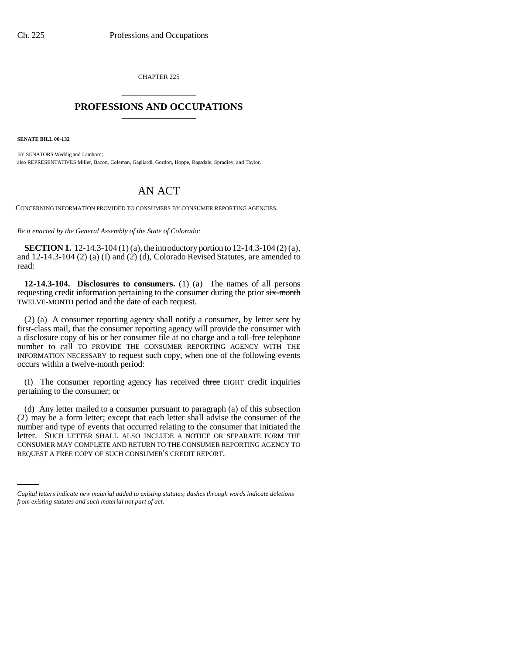CHAPTER 225 \_\_\_\_\_\_\_\_\_\_\_\_\_\_\_

## **PROFESSIONS AND OCCUPATIONS** \_\_\_\_\_\_\_\_\_\_\_\_\_\_\_

**SENATE BILL 00-132** 

BY SENATORS Weddig and Lamborn; also REPRESENTATIVES Miller, Bacon, Coleman, Gagliardi, Gordon, Hoppe, Ragsdale, Spradley, and Taylor.

## AN ACT

CONCERNING INFORMATION PROVIDED TO CONSUMERS BY CONSUMER REPORTING AGENCIES.

*Be it enacted by the General Assembly of the State of Colorado:*

**SECTION 1.** 12-14.3-104 (1) (a), the introductory portion to 12-14.3-104 (2) (a), and 12-14.3-104 (2) (a) (I) and (2) (d), Colorado Revised Statutes, are amended to read:

**12-14.3-104. Disclosures to consumers.** (1) (a) The names of all persons requesting credit information pertaining to the consumer during the prior six-month TWELVE-MONTH period and the date of each request.

(2) (a) A consumer reporting agency shall notify a consumer, by letter sent by first-class mail, that the consumer reporting agency will provide the consumer with a disclosure copy of his or her consumer file at no charge and a toll-free telephone number to call TO PROVIDE THE CONSUMER REPORTING AGENCY WITH THE INFORMATION NECESSARY to request such copy, when one of the following events occurs within a twelve-month period:

(I) The consumer reporting agency has received three EIGHT credit inquiries pertaining to the consumer; or

CONSUMER MAY COMPLETE AND RETURN TO THE CONSUMER REPORTING AGENCY TO (d) Any letter mailed to a consumer pursuant to paragraph (a) of this subsection (2) may be a form letter; except that each letter shall advise the consumer of the number and type of events that occurred relating to the consumer that initiated the letter. SUCH LETTER SHALL ALSO INCLUDE A NOTICE OR SEPARATE FORM THE REQUEST A FREE COPY OF SUCH CONSUMER'S CREDIT REPORT.

*Capital letters indicate new material added to existing statutes; dashes through words indicate deletions from existing statutes and such material not part of act.*